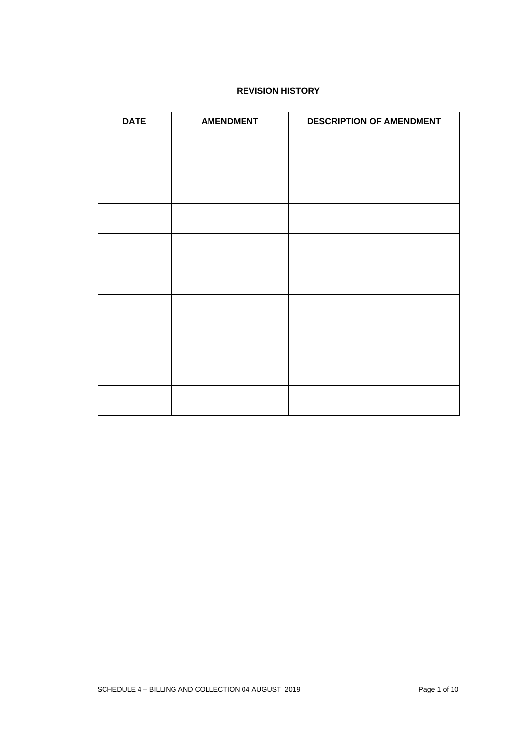# **REVISION HISTORY**

| <b>DATE</b> | <b>AMENDMENT</b> | <b>DESCRIPTION OF AMENDMENT</b> |  |  |  |  |
|-------------|------------------|---------------------------------|--|--|--|--|
|             |                  |                                 |  |  |  |  |
|             |                  |                                 |  |  |  |  |
|             |                  |                                 |  |  |  |  |
|             |                  |                                 |  |  |  |  |
|             |                  |                                 |  |  |  |  |
|             |                  |                                 |  |  |  |  |
|             |                  |                                 |  |  |  |  |
|             |                  |                                 |  |  |  |  |
|             |                  |                                 |  |  |  |  |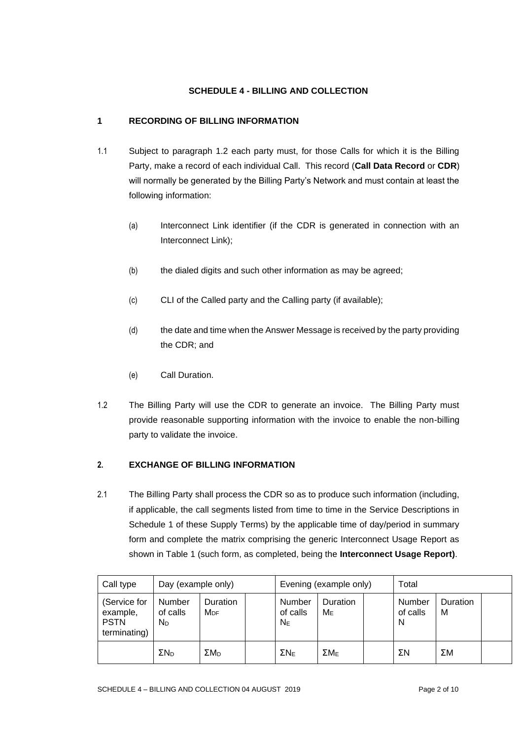# **SCHEDULE 4 - BILLING AND COLLECTION**

# **1 RECORDING OF BILLING INFORMATION**

- 1.1 Subject to paragraph 1.2 each party must, for those Calls for which it is the Billing Party, make a record of each individual Call. This record (**Call Data Record** or **CDR**) will normally be generated by the Billing Party's Network and must contain at least the following information:
	- (a) Interconnect Link identifier (if the CDR is generated in connection with an Interconnect Link);
	- (b) the dialed digits and such other information as may be agreed;
	- (c) CLI of the Called party and the Calling party (if available);
	- (d) the date and time when the Answer Message is received by the party providing the CDR; and
	- (e) Call Duration.
- 1.2 The Billing Party will use the CDR to generate an invoice. The Billing Party must provide reasonable supporting information with the invoice to enable the non-billing party to validate the invoice.

#### **2. EXCHANGE OF BILLING INFORMATION**

2.1 The Billing Party shall process the CDR so as to produce such information (including, if applicable, the call segments listed from time to time in the Service Descriptions in Schedule 1 of these Supply Terms) by the applicable time of day/period in summary form and complete the matrix comprising the generic Interconnect Usage Report as shown in Table 1 (such form, as completed, being the **Interconnect Usage Report)**.

| Call type                                               | Day (example only)                   |                                    | Evening (example only) |                               |                   | Total |                         |               |  |
|---------------------------------------------------------|--------------------------------------|------------------------------------|------------------------|-------------------------------|-------------------|-------|-------------------------|---------------|--|
| (Service for<br>example,<br><b>PSTN</b><br>terminating) | Number<br>of calls<br>N <sub>D</sub> | <b>Duration</b><br>M <sub>DE</sub> |                        | Number<br>of calls<br>$N_{E}$ | Duration<br>$M_E$ |       | Number<br>of calls<br>N | Duration<br>М |  |
|                                                         | $\Sigma$ N <sub>D</sub>              | $\Sigma M_D$                       |                        | ΣN <sub>F</sub>               | ΣM <sub>F</sub>   |       | ΣΝ                      | ΣΜ            |  |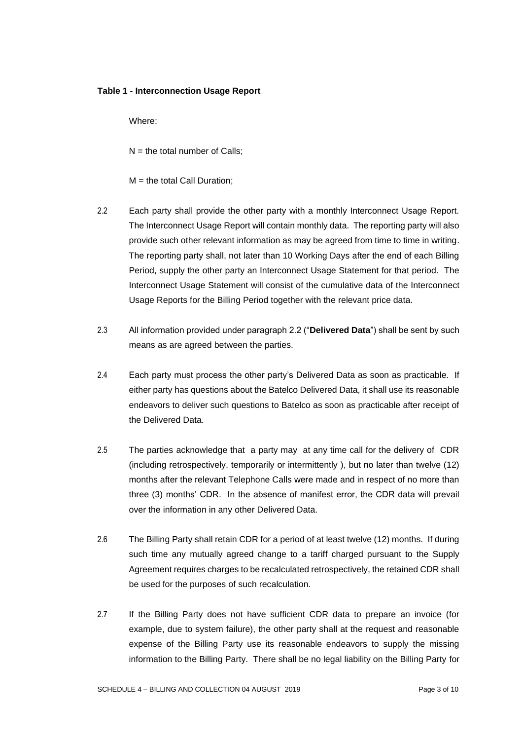#### **Table 1 - Interconnection Usage Report**

Where:

 $N =$  the total number of Calls:

 $M =$  the total Call Duration:

- 2.2 Each party shall provide the other party with a monthly Interconnect Usage Report. The Interconnect Usage Report will contain monthly data. The reporting party will also provide such other relevant information as may be agreed from time to time in writing. The reporting party shall, not later than 10 Working Days after the end of each Billing Period, supply the other party an Interconnect Usage Statement for that period. The Interconnect Usage Statement will consist of the cumulative data of the Interconnect Usage Reports for the Billing Period together with the relevant price data.
- 2.3 All information provided under paragraph 2.2 ("**Delivered Data**") shall be sent by such means as are agreed between the parties.
- 2.4 Each party must process the other party's Delivered Data as soon as practicable. If either party has questions about the Batelco Delivered Data, it shall use its reasonable endeavors to deliver such questions to Batelco as soon as practicable after receipt of the Delivered Data.
- 2.5 The parties acknowledge that a party may at any time call for the delivery of CDR (including retrospectively, temporarily or intermittently ), but no later than twelve (12) months after the relevant Telephone Calls were made and in respect of no more than three (3) months' CDR. In the absence of manifest error, the CDR data will prevail over the information in any other Delivered Data.
- 2.6 The Billing Party shall retain CDR for a period of at least twelve (12) months. If during such time any mutually agreed change to a tariff charged pursuant to the Supply Agreement requires charges to be recalculated retrospectively, the retained CDR shall be used for the purposes of such recalculation.
- 2.7 If the Billing Party does not have sufficient CDR data to prepare an invoice (for example, due to system failure), the other party shall at the request and reasonable expense of the Billing Party use its reasonable endeavors to supply the missing information to the Billing Party. There shall be no legal liability on the Billing Party for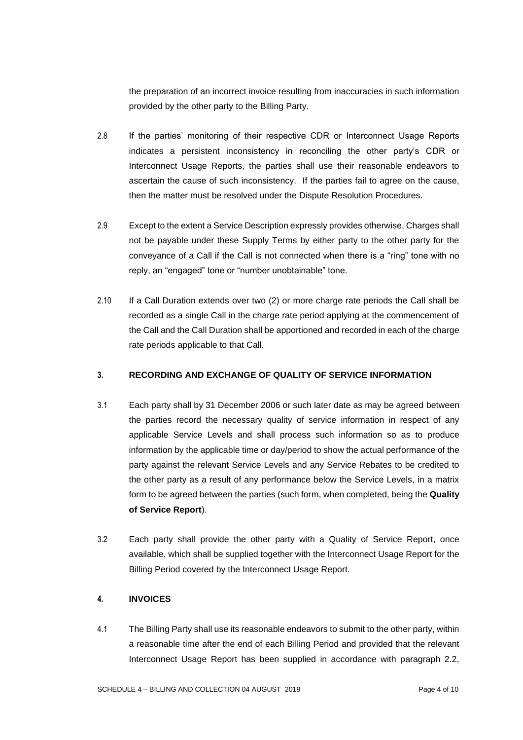the preparation of an incorrect invoice resulting from inaccuracies in such information provided by the other party to the Billing Party.

- 2.8 If the parties' monitoring of their respective CDR or Interconnect Usage Reports indicates a persistent inconsistency in reconciling the other party's CDR or Interconnect Usage Reports, the parties shall use their reasonable endeavors to ascertain the cause of such inconsistency. If the parties fail to agree on the cause, then the matter must be resolved under the Dispute Resolution Procedures.
- 2.9 Except to the extent a Service Description expressly provides otherwise, Charges shall not be payable under these Supply Terms by either party to the other party for the conveyance of a Call if the Call is not connected when there is a "ring" tone with no reply, an "engaged" tone or "number unobtainable" tone.
- 2.10 If a Call Duration extends over two (2) or more charge rate periods the Call shall be recorded as a single Call in the charge rate period applying at the commencement of the Call and the Call Duration shall be apportioned and recorded in each of the charge rate periods applicable to that Call.

### **3. RECORDING AND EXCHANGE OF QUALITY OF SERVICE INFORMATION**

- 3.1 Each party shall by 31 December 2006 or such later date as may be agreed between the parties record the necessary quality of service information in respect of any applicable Service Levels and shall process such information so as to produce information by the applicable time or day/period to show the actual performance of the party against the relevant Service Levels and any Service Rebates to be credited to the other party as a result of any performance below the Service Levels, in a matrix form to be agreed between the parties (such form, when completed, being the **Quality of Service Report**).
- 3.2 Each party shall provide the other party with a Quality of Service Report, once available, which shall be supplied together with the Interconnect Usage Report for the Billing Period covered by the Interconnect Usage Report.

# **4. INVOICES**

4.1 The Billing Party shall use its reasonable endeavors to submit to the other party, within a reasonable time after the end of each Billing Period and provided that the relevant Interconnect Usage Report has been supplied in accordance with paragraph 2.2,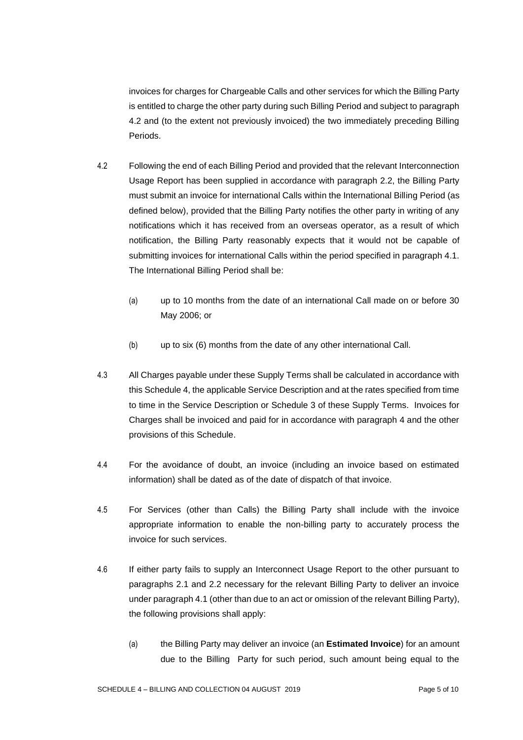invoices for charges for Chargeable Calls and other services for which the Billing Party is entitled to charge the other party during such Billing Period and subject to paragraph 4.2 and (to the extent not previously invoiced) the two immediately preceding Billing Periods.

- 4.2 Following the end of each Billing Period and provided that the relevant Interconnection Usage Report has been supplied in accordance with paragraph 2.2, the Billing Party must submit an invoice for international Calls within the International Billing Period (as defined below), provided that the Billing Party notifies the other party in writing of any notifications which it has received from an overseas operator, as a result of which notification, the Billing Party reasonably expects that it would not be capable of submitting invoices for international Calls within the period specified in paragraph 4.1. The International Billing Period shall be:
	- (a) up to 10 months from the date of an international Call made on or before 30 May 2006; or
	- (b) up to six (6) months from the date of any other international Call.
- 4.3 All Charges payable under these Supply Terms shall be calculated in accordance with this Schedule 4, the applicable Service Description and at the rates specified from time to time in the Service Description or Schedule 3 of these Supply Terms. Invoices for Charges shall be invoiced and paid for in accordance with paragraph 4 and the other provisions of this Schedule.
- 4.4 For the avoidance of doubt, an invoice (including an invoice based on estimated information) shall be dated as of the date of dispatch of that invoice.
- 4.5 For Services (other than Calls) the Billing Party shall include with the invoice appropriate information to enable the non-billing party to accurately process the invoice for such services.
- 4.6 If either party fails to supply an Interconnect Usage Report to the other pursuant to paragraphs 2.1 and 2.2 necessary for the relevant Billing Party to deliver an invoice under paragraph 4.1 (other than due to an act or omission of the relevant Billing Party), the following provisions shall apply:
	- (a) the Billing Party may deliver an invoice (an **Estimated Invoice**) for an amount due to the Billing Party for such period, such amount being equal to the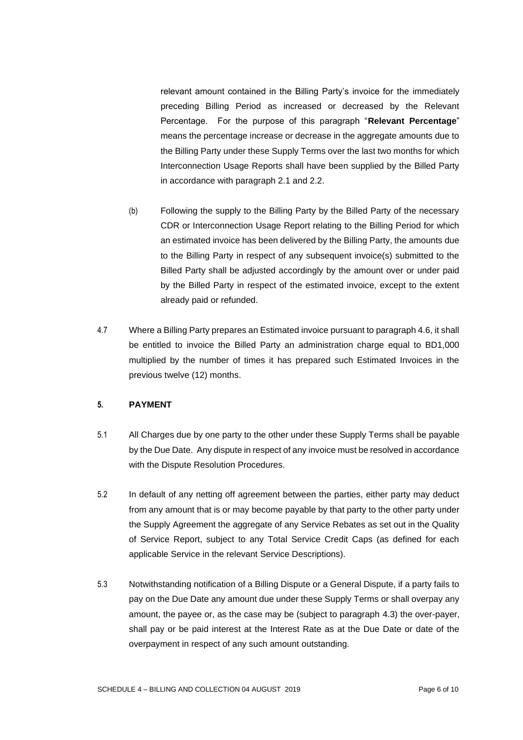relevant amount contained in the Billing Party's invoice for the immediately preceding Billing Period as increased or decreased by the Relevant Percentage. For the purpose of this paragraph "**Relevant Percentage**" means the percentage increase or decrease in the aggregate amounts due to the Billing Party under these Supply Terms over the last two months for which Interconnection Usage Reports shall have been supplied by the Billed Party in accordance with paragraph 2.1 and 2.2.

- (b) Following the supply to the Billing Party by the Billed Party of the necessary CDR or Interconnection Usage Report relating to the Billing Period for which an estimated invoice has been delivered by the Billing Party, the amounts due to the Billing Party in respect of any subsequent invoice(s) submitted to the Billed Party shall be adjusted accordingly by the amount over or under paid by the Billed Party in respect of the estimated invoice, except to the extent already paid or refunded.
- 4.7 Where a Billing Party prepares an Estimated invoice pursuant to paragraph 4.6, it shall be entitled to invoice the Billed Party an administration charge equal to BD1,000 multiplied by the number of times it has prepared such Estimated Invoices in the previous twelve (12) months.

#### **5. PAYMENT**

- 5.1 All Charges due by one party to the other under these Supply Terms shall be payable by the Due Date. Any dispute in respect of any invoice must be resolved in accordance with the Dispute Resolution Procedures.
- 5.2 In default of any netting off agreement between the parties, either party may deduct from any amount that is or may become payable by that party to the other party under the Supply Agreement the aggregate of any Service Rebates as set out in the Quality of Service Report, subject to any Total Service Credit Caps (as defined for each applicable Service in the relevant Service Descriptions).
- 5.3 Notwithstanding notification of a Billing Dispute or a General Dispute, if a party fails to pay on the Due Date any amount due under these Supply Terms or shall overpay any amount, the payee or, as the case may be (subject to paragraph 4.3) the over-payer, shall pay or be paid interest at the Interest Rate as at the Due Date or date of the overpayment in respect of any such amount outstanding.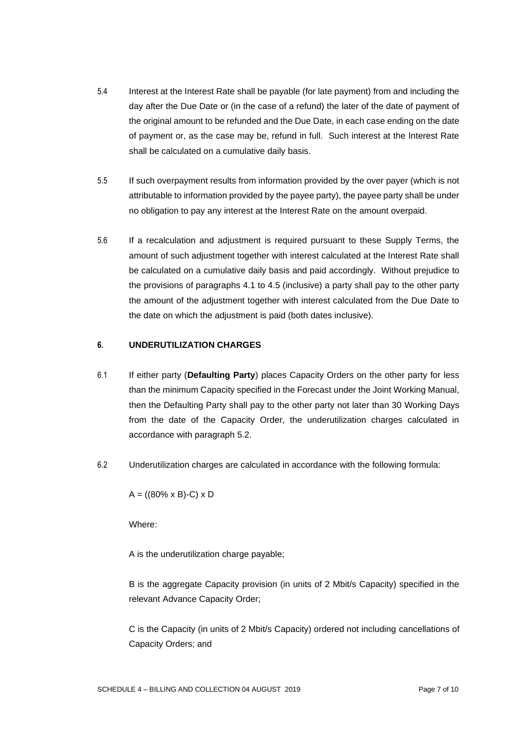- 5.4 Interest at the Interest Rate shall be payable (for late payment) from and including the day after the Due Date or (in the case of a refund) the later of the date of payment of the original amount to be refunded and the Due Date, in each case ending on the date of payment or, as the case may be, refund in full. Such interest at the Interest Rate shall be calculated on a cumulative daily basis.
- 5.5 If such overpayment results from information provided by the over payer (which is not attributable to information provided by the payee party), the payee party shall be under no obligation to pay any interest at the Interest Rate on the amount overpaid.
- 5.6 If a recalculation and adjustment is required pursuant to these Supply Terms, the amount of such adjustment together with interest calculated at the Interest Rate shall be calculated on a cumulative daily basis and paid accordingly. Without prejudice to the provisions of paragraphs 4.1 to 4.5 (inclusive) a party shall pay to the other party the amount of the adjustment together with interest calculated from the Due Date to the date on which the adjustment is paid (both dates inclusive).

## **6. UNDERUTILIZATION CHARGES**

- 6.1 If either party (**Defaulting Party**) places Capacity Orders on the other party for less than the minimum Capacity specified in the Forecast under the Joint Working Manual, then the Defaulting Party shall pay to the other party not later than 30 Working Days from the date of the Capacity Order, the underutilization charges calculated in accordance with paragraph 5.2.
- 6.2 Underutilization charges are calculated in accordance with the following formula:

 $A = ((80\% \times B)-C) \times D$ 

Where:

A is the underutilization charge payable;

B is the aggregate Capacity provision (in units of 2 Mbit/s Capacity) specified in the relevant Advance Capacity Order;

C is the Capacity (in units of 2 Mbit/s Capacity) ordered not including cancellations of Capacity Orders; and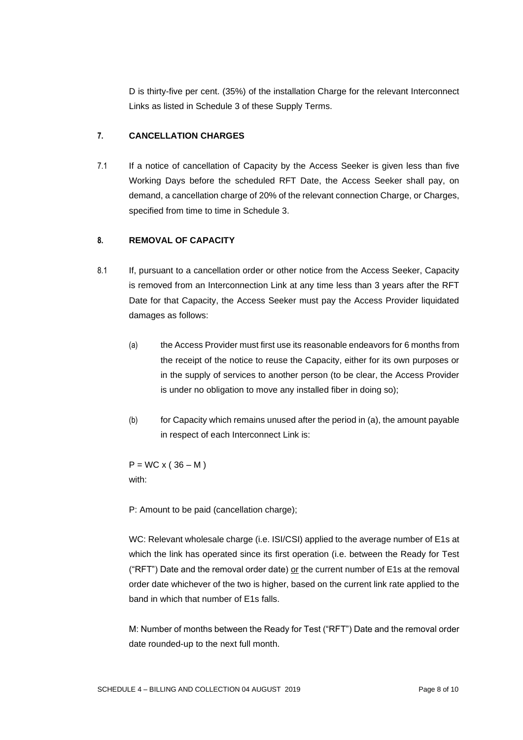D is thirty-five per cent. (35%) of the installation Charge for the relevant Interconnect Links as listed in Schedule 3 of these Supply Terms.

# **7. CANCELLATION CHARGES**

7.1 If a notice of cancellation of Capacity by the Access Seeker is given less than five Working Days before the scheduled RFT Date, the Access Seeker shall pay, on demand, a cancellation charge of 20% of the relevant connection Charge, or Charges, specified from time to time in Schedule 3.

## **8. REMOVAL OF CAPACITY**

- 8.1 If, pursuant to a cancellation order or other notice from the Access Seeker, Capacity is removed from an Interconnection Link at any time less than 3 years after the RFT Date for that Capacity, the Access Seeker must pay the Access Provider liquidated damages as follows:
	- (a) the Access Provider must first use its reasonable endeavors for 6 months from the receipt of the notice to reuse the Capacity, either for its own purposes or in the supply of services to another person (to be clear, the Access Provider is under no obligation to move any installed fiber in doing so);
	- $(b)$  for Capacity which remains unused after the period in (a), the amount payable in respect of each Interconnect Link is:

 $P = WC \times (36 - M)$ with:

P: Amount to be paid (cancellation charge);

WC: Relevant wholesale charge (i.e. ISI/CSI) applied to the average number of E1s at which the link has operated since its first operation (i.e. between the Ready for Test ("RFT") Date and the removal order date) or the current number of E1s at the removal order date whichever of the two is higher, based on the current link rate applied to the band in which that number of E1s falls.

M: Number of months between the Ready for Test ("RFT") Date and the removal order date rounded-up to the next full month.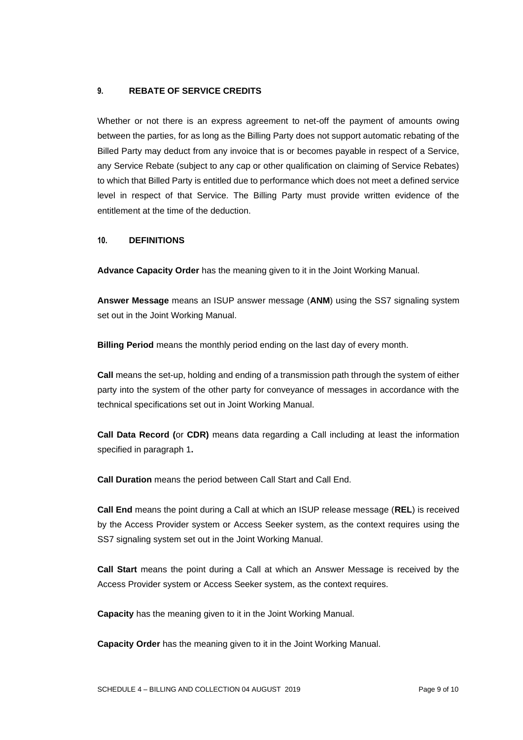### **9. REBATE OF SERVICE CREDITS**

Whether or not there is an express agreement to net-off the payment of amounts owing between the parties, for as long as the Billing Party does not support automatic rebating of the Billed Party may deduct from any invoice that is or becomes payable in respect of a Service, any Service Rebate (subject to any cap or other qualification on claiming of Service Rebates) to which that Billed Party is entitled due to performance which does not meet a defined service level in respect of that Service. The Billing Party must provide written evidence of the entitlement at the time of the deduction.

#### **10. DEFINITIONS**

**Advance Capacity Order** has the meaning given to it in the Joint Working Manual.

**Answer Message** means an ISUP answer message (**ANM**) using the SS7 signaling system set out in the Joint Working Manual.

**Billing Period** means the monthly period ending on the last day of every month.

**Call** means the set-up, holding and ending of a transmission path through the system of either party into the system of the other party for conveyance of messages in accordance with the technical specifications set out in Joint Working Manual.

**Call Data Record (**or **CDR)** means data regarding a Call including at least the information specified in paragraph 1**.**

**Call Duration** means the period between Call Start and Call End.

**Call End** means the point during a Call at which an ISUP release message (**REL**) is received by the Access Provider system or Access Seeker system, as the context requires using the SS7 signaling system set out in the Joint Working Manual.

**Call Start** means the point during a Call at which an Answer Message is received by the Access Provider system or Access Seeker system, as the context requires.

**Capacity** has the meaning given to it in the Joint Working Manual.

**Capacity Order** has the meaning given to it in the Joint Working Manual.